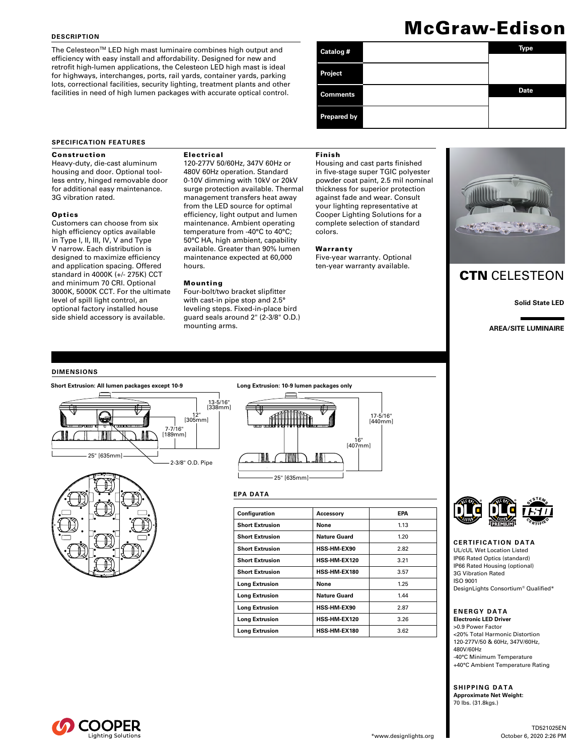### **DESCRIPTION**

The Celesteon™ LED high mast luminaire combines high output and efficiency with easy install and affordability. Designed for new and retrofit high-lumen applications, the Celesteon LED high mast is ideal for highways, interchanges, ports, rail yards, container yards, parking lots, correctional facilities, security lighting, treatment plants and other facilities in need of high lumen packages with accurate optical control.

# McGraw-Edison

| Catalog #          | Type        |
|--------------------|-------------|
| Project            |             |
| <b>Comments</b>    | <b>Date</b> |
| <b>Prepared by</b> |             |

### **SPECIFICATION FEATURES**

### Construction

Heavy-duty, die-cast aluminum housing and door. Optional toolless entry, hinged removable door for additional easy maintenance. 3G vibration rated.

### **Optics**

Customers can choose from six high efficiency optics available in Type I, II, III, IV, V and Type V narrow. Each distribution is designed to maximize efficiency and application spacing. Offered standard in 4000K (+/- 275K) CCT and minimum 70 CRI. Optional 3000K, 5000K CCT. For the ultimate level of spill light control, an optional factory installed house side shield accessory is available.

### Electrical

120-277V 50/60Hz, 347V 60Hz or 480V 60Hz operation. Standard 0-10V dimming with 10kV or 20kV surge protection available. Thermal management transfers heat away from the LED source for optimal efficiency, light output and lumen maintenance. Ambient operating temperature from -40°C to 40°C; 50°C HA, high ambient, capability available. Greater than 90% lumen maintenance expected at 60,000 hours.

### Mounting

### Four-bolt/two bracket slipfitter with cast-in pipe stop and 2.5° leveling steps. Fixed-in-place bird guard seals around 2" (2-3/8" O.D.) mounting arms.

### Finish

Housing and cast parts finished in five-stage super TGIC polyester powder coat paint, 2.5 mil nominal thickness for superior protection against fade and wear. Consult your lighting representative at Cooper Lighting Solutions for a complete selection of standard colors.

### Warranty

Five-year warranty. Optional ten-year warranty available.



## CTN CELESTEON

**Solid State LED**

**AREA/SITE LUMINAIRE**

### **DIMENSIONS**







### **EPA DATA**

| Configuration          | Accessory           | EPA  |
|------------------------|---------------------|------|
| <b>Short Extrusion</b> | None                | 1.13 |
| <b>Short Extrusion</b> | Nature Guard        | 1.20 |
| <b>Short Extrusion</b> | <b>HSS-HM-EX90</b>  | 2.82 |
| <b>Short Extrusion</b> | <b>HSS-HM-EX120</b> | 3.21 |
| <b>Short Extrusion</b> | <b>HSS-HM-EX180</b> | 3.57 |
| <b>Long Extrusion</b>  | None                | 1.25 |
| <b>Long Extrusion</b>  | Nature Guard        | 1.44 |
| <b>Long Extrusion</b>  | <b>HSS-HM-EX90</b>  | 2.87 |
| <b>Long Extrusion</b>  | <b>HSS-HM-EX120</b> | 3.26 |
| Long Extrusion         | <b>HSS-HM-EX180</b> | 3.62 |



**CERTIFICATION DATA** UL/cUL Wet Location Listed IP66 Rated Optics (standard) IP66 Rated Housing (optional) 3G Vibration Rated ISO 9001 DesignLights Consortium® Qualified\*

### **ENERGY DATA Electronic LED Driver**

>0.9 Power Factor <20% Total Harmonic Distortion 120-277V/50 & 60Hz, 347V/60Hz, 480V/60Hz -40°C Minimum Temperature +40°C Ambient Temperature Rating

**SHIPPING DATA Approximate Net Weight:**  70 lbs. (31.8kgs.)

Lighting Solutions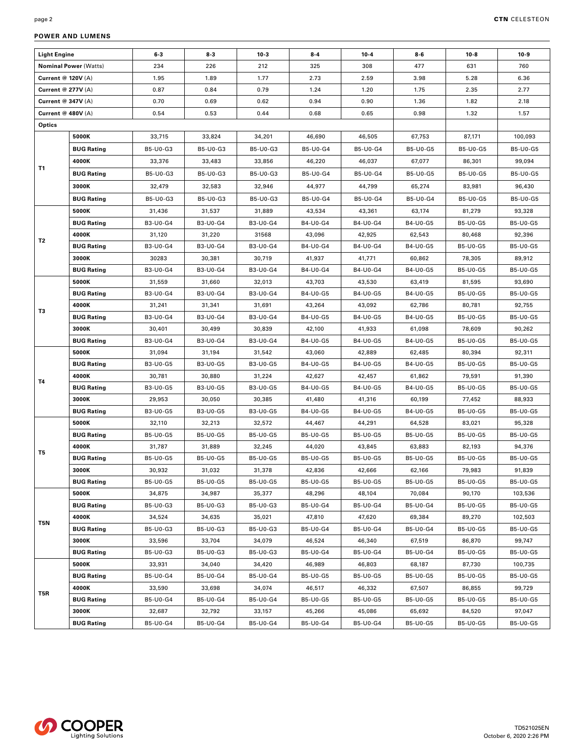| <b>Light Engine</b>          |                   | $6 - 3$  | $8-3$    | $10-3$   | $8 - 4$  | $10 - 4$        | $8 - 6$  | $10-8$   | $10-9$   |
|------------------------------|-------------------|----------|----------|----------|----------|-----------------|----------|----------|----------|
| <b>Nominal Power (Watts)</b> |                   | 234      | 226      | 212      | 325      | 308             | 477      | 631      | 760      |
| Current @ 120V (A)           |                   | 1.95     | 1.89     | 1.77     | 2.73     | 2.59            | 3.98     | 5.28     | 6.36     |
| <b>Current @ 277V (A)</b>    |                   | 0.87     | 0.84     | 0.79     | 1.24     | 1.20            | 1.75     | 2.35     | 2.77     |
| <b>Current @ 347V (A)</b>    |                   | 0.70     | 0.69     | 0.62     | 0.94     | 0.90            | 1.36     | 1.82     | 2.18     |
| Current @ 480V (A)           |                   | 0.54     | 0.53     | 0.44     | 0.68     | 0.65            | 0.98     | 1.32     | 1.57     |
| Optics                       |                   |          |          |          |          |                 |          |          |          |
|                              | 5000K             | 33,715   | 33,824   | 34,201   | 46,690   | 46,505          | 67,753   | 87,171   | 100,093  |
|                              | <b>BUG Rating</b> | B5-U0-G3 | B5-U0-G3 | B5-U0-G3 | B5-U0-G4 | B5-U0-G4        | B5-U0-G5 | B5-U0-G5 | B5-U0-G5 |
|                              | 4000K             | 33,376   | 33,483   | 33,856   | 46,220   | 46,037          | 67,077   | 86,301   | 99.094   |
| T1                           | <b>BUG Rating</b> | B5-U0-G3 | B5-U0-G3 | B5-U0-G3 | B5-U0-G4 | B5-U0-G4        | B5-U0-G5 | B5-U0-G5 | B5-U0-G5 |
|                              | 3000K             | 32,479   | 32,583   | 32,946   | 44,977   | 44,799          | 65,274   | 83,981   | 96,430   |
|                              | <b>BUG Rating</b> | B5-U0-G3 | B5-U0-G3 | B5-U0-G3 | B5-U0-G4 | B5-U0-G4        | B5-U0-G4 | B5-U0-G5 | B5-U0-G5 |
|                              | 5000K             | 31,436   | 31,537   | 31,889   | 43,534   | 43,361          | 63,174   | 81,279   | 93,328   |
|                              | <b>BUG Rating</b> | B3-U0-G4 | B3-U0-G4 | B3-U0-G4 | B4-U0-G4 | B4-U0-G4        | B4-U0-G5 | B5-U0-G5 | B5-U0-G5 |
|                              | 4000K             | 31,120   | 31,220   | 31568    | 43,096   | 42,925          | 62,543   | 80,468   | 92,396   |
| T2                           | <b>BUG Rating</b> | B3-U0-G4 | B3-U0-G4 | B3-U0-G4 | B4-U0-G4 | B4-U0-G4        | B4-U0-G5 | B5-U0-G5 | B5-U0-G5 |
|                              | 3000K             | 30283    | 30,381   | 30,719   | 41,937   | 41,771          | 60,862   | 78,305   | 89,912   |
|                              | <b>BUG Rating</b> | B3-U0-G4 | B3-U0-G4 | B3-U0-G4 | B4-U0-G4 | B4-U0-G4        | B4-U0-G5 | B5-U0-G5 | B5-U0-G5 |
|                              | 5000K             | 31,559   | 31,660   | 32,013   | 43,703   | 43,530          | 63,419   | 81,595   | 93,690   |
|                              | <b>BUG Rating</b> | B3-U0-G4 | B3-U0-G4 | B3-U0-G4 | B4-U0-G5 | B4-U0-G5        | B4-U0-G5 | B5-U0-G5 | B5-U0-G5 |
|                              | 4000K             | 31,241   | 31,341   | 31,691   | 43,264   | 43,092          | 62,786   | 80,781   | 92,755   |
| T3                           | <b>BUG Rating</b> | B3-U0-G4 | B3-U0-G4 | B3-U0-G4 | B4-U0-G5 | B4-U0-G5        | B4-U0-G5 | B5-U0-G5 | B5-U0-G5 |
|                              | 3000K             | 30,401   | 30,499   | 30,839   | 42,100   | 41,933          | 61,098   | 78,609   | 90,262   |
|                              | <b>BUG Rating</b> | B3-U0-G4 | B3-U0-G4 | B3-U0-G4 | B4-U0-G5 | B4-U0-G5        | B4-U0-G5 | B5-U0-G5 | B5-U0-G5 |
|                              | 5000K             | 31,094   | 31,194   | 31,542   | 43,060   | 42,889          | 62,485   | 80,394   | 92,311   |
|                              | <b>BUG Rating</b> | B3-U0-G5 | B3-U0-G5 | B3-U0-G5 | B4-U0-G5 | B4-U0-G5        | B4-U0-G5 | B5-U0-G5 | B5-U0-G5 |
| T4                           | 4000K             | 30,781   | 30,880   | 31,224   | 42,627   | 42,457          | 61,862   | 79,591   | 91,390   |
|                              | <b>BUG Rating</b> | B3-U0-G5 | B3-U0-G5 | B3-U0-G5 | B4-U0-G5 | B4-U0-G5        | B4-U0-G5 | B5-U0-G5 | B5-U0-G5 |
|                              | 3000K             | 29,953   | 30,050   | 30,385   | 41,480   | 41,316          | 60,199   | 77,452   | 88,933   |
|                              | <b>BUG Rating</b> | B3-U0-G5 | B3-U0-G5 | B3-U0-G5 | B4-U0-G5 | B4-U0-G5        | B4-U0-G5 | B5-U0-G5 | B5-U0-G5 |
|                              | 5000K             | 32,110   | 32,213   | 32,572   | 44,467   | 44,291          | 64,528   | 83,021   | 95,328   |
|                              | <b>BUG Rating</b> | B5-U0-G5 | B5-U0-G5 | B5-U0-G5 | B5-U0-G5 | <b>B5-U0-G5</b> | B5-U0-G5 | B5-U0-G5 | B5-U0-G5 |
| T5                           | 4000K             | 31,787   | 31,889   | 32,245   | 44,020   | 43,845          | 63,883   | 82,193   | 94,376   |
|                              | <b>BUG Rating</b> | B5-U0-G5 | B5-U0-G5 | B5-U0-G5 | B5-U0-G5 | B5-U0-G5        | B5-U0-G5 | B5-U0-G5 | B5-U0-G5 |
|                              | 3000K             | 30,932   | 31,032   | 31,378   | 42,836   | 42,666          | 62,166   | 79,983   | 91,839   |
|                              | <b>BUG Rating</b> | B5-U0-G5 | B5-U0-G5 | B5-U0-G5 | B5-U0-G5 | B5-U0-G5        | B5-U0-G5 | B5-U0-G5 | B5-U0-G5 |
|                              | 5000K             | 34,875   | 34,987   | 35,377   | 48,296   | 48,104          | 70,084   | 90,170   | 103,536  |
|                              | <b>BUG Rating</b> | B5-U0-G3 | B5-U0-G3 | B5-U0-G3 | B5-U0-G4 | B5-U0-G4        | B5-U0-G4 | B5-U0-G5 | B5-U0-G5 |
| T5N                          | 4000K             | 34,524   | 34,635   | 35,021   | 47,810   | 47,620          | 69,384   | 89,270   | 102,503  |
|                              | <b>BUG Rating</b> | B5-U0-G3 | B5-U0-G3 | B5-U0-G3 | B5-U0-G4 | B5-U0-G4        | B5-U0-G4 | B5-U0-G5 | B5-U0-G5 |
|                              | 3000K             | 33,596   | 33,704   | 34,079   | 46,524   | 46,340          | 67,519   | 86,870   | 99,747   |
|                              | <b>BUG Rating</b> | B5-U0-G3 | B5-U0-G3 | B5-U0-G3 | B5-U0-G4 | B5-U0-G4        | B5-U0-G4 | B5-U0-G5 | B5-U0-G5 |
|                              | 5000K             | 33,931   | 34,040   | 34,420   | 46,989   | 46,803          | 68,187   | 87,730   | 100,735  |
|                              | <b>BUG Rating</b> | B5-U0-G4 | B5-U0-G4 | B5-U0-G4 | B5-U0-G5 | B5-U0-G5        | B5-U0-G5 | B5-U0-G5 | B5-U0-G5 |
| T5R                          | 4000K             | 33,590   | 33,698   | 34,074   | 46,517   | 46,332          | 67,507   | 86,855   | 99,729   |
|                              | <b>BUG Rating</b> | B5-U0-G4 | B5-U0-G4 | B5-U0-G4 | B5-U0-G5 | B5-U0-G5        | B5-U0-G5 | B5-U0-G5 | B5-U0-G5 |
|                              | 3000K             | 32,687   | 32,792   | 33,157   | 45,266   | 45,086          | 65,692   | 84,520   | 97,047   |
|                              | <b>BUG Rating</b> | B5-U0-G4 | B5-U0-G4 | B5-U0-G4 | B5-U0-G4 | B5-U0-G4        | B5-U0-G5 | B5-U0-G5 | B5-U0-G5 |

### **POWER AND LUMENS**